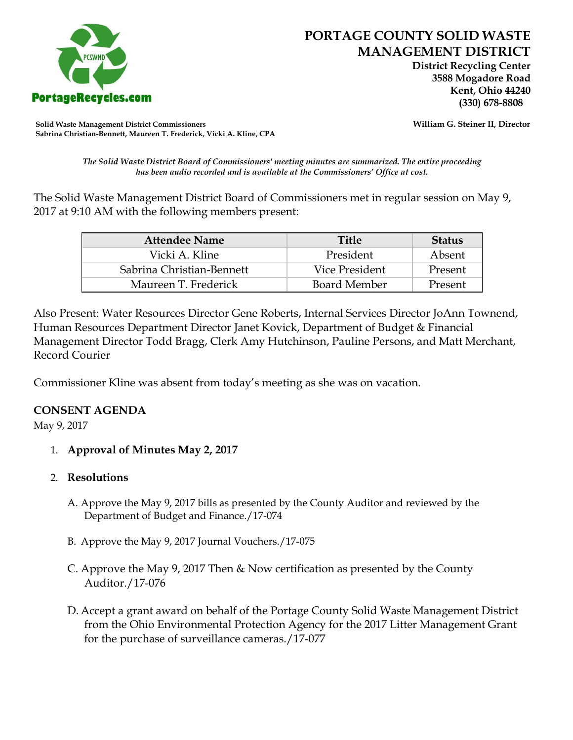

 **District Recycling Center 3588 Mogadore Road Kent, Ohio 44240**

**Solid Waste Management District Commissioners William G. Steiner II, Director Sabrina Christian-Bennett, Maureen T. Frederick, Vicki A. Kline, CPA**

*The Solid Waste District Board of Commissioners' meeting minutes are summarized. The entire proceeding has been audio recorded and is available at the Commissioners' Office at cost.*

The Solid Waste Management District Board of Commissioners met in regular session on May 9, 2017 at 9:10 AM with the following members present:

| <b>Attendee Name</b>      | <b>Title</b>        | <b>Status</b> |
|---------------------------|---------------------|---------------|
| Vicki A. Kline            | President           | Absent        |
| Sabrina Christian-Bennett | Vice President      | Present       |
| Maureen T. Frederick      | <b>Board Member</b> | Present       |

Also Present: Water Resources Director Gene Roberts, Internal Services Director JoAnn Townend, Human Resources Department Director Janet Kovick, Department of Budget & Financial Management Director Todd Bragg, Clerk Amy Hutchinson, Pauline Persons, and Matt Merchant, Record Courier

Commissioner Kline was absent from today's meeting as she was on vacation.

## **CONSENT AGENDA**

May 9, 2017

- 1. **Approval of Minutes May 2, 2017**
- 2. **Resolutions**
	- A. Approve the May 9, 2017 bills as presented by the County Auditor and reviewed by the Department of Budget and Finance./17-074
	- B. Approve the May 9, 2017 Journal Vouchers./17-075
	- C. Approve the May 9, 2017 Then & Now certification as presented by the County Auditor./17-076
	- D. Accept a grant award on behalf of the Portage County Solid Waste Management District from the Ohio Environmental Protection Agency for the 2017 Litter Management Grant for the purchase of surveillance cameras./17-077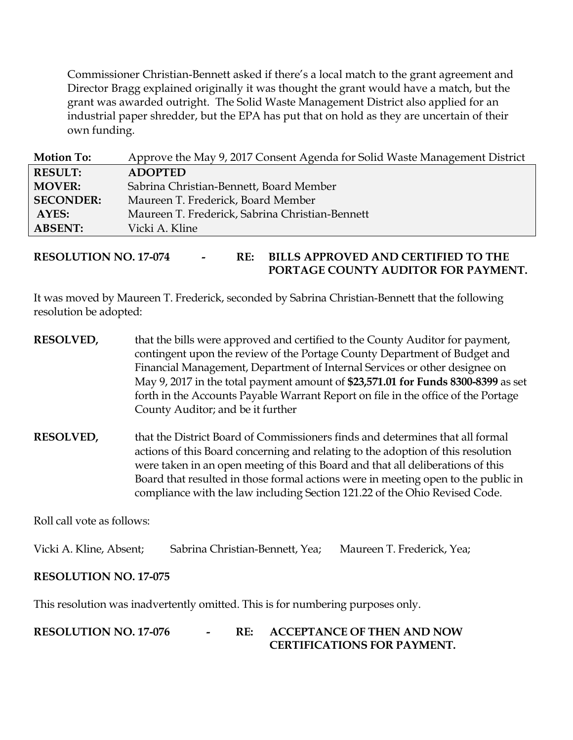Commissioner Christian-Bennett asked if there's a local match to the grant agreement and Director Bragg explained originally it was thought the grant would have a match, but the grant was awarded outright. The Solid Waste Management District also applied for an industrial paper shredder, but the EPA has put that on hold as they are uncertain of their own funding.

| <b>Motion To:</b> | Approve the May 9, 2017 Consent Agenda for Solid Waste Management District |
|-------------------|----------------------------------------------------------------------------|
| <b>RESULT:</b>    | <b>ADOPTED</b>                                                             |
| <b>MOVER:</b>     | Sabrina Christian-Bennett, Board Member                                    |
| <b>SECONDER:</b>  | Maureen T. Frederick, Board Member                                         |
| AYES:             | Maureen T. Frederick, Sabrina Christian-Bennett                            |
| <b>ABSENT:</b>    | Vicki A. Kline                                                             |

**RESOLUTION NO. 17-074 - RE: BILLS APPROVED AND CERTIFIED TO THE PORTAGE COUNTY AUDITOR FOR PAYMENT.** 

It was moved by Maureen T. Frederick, seconded by Sabrina Christian-Bennett that the following resolution be adopted:

- **RESOLVED,** that the bills were approved and certified to the County Auditor for payment, contingent upon the review of the Portage County Department of Budget and Financial Management, Department of Internal Services or other designee on May 9, 2017 in the total payment amount of **\$23,571.01 for Funds 8300-8399** as set forth in the Accounts Payable Warrant Report on file in the office of the Portage County Auditor; and be it further
- **RESOLVED,** that the District Board of Commissioners finds and determines that all formal actions of this Board concerning and relating to the adoption of this resolution were taken in an open meeting of this Board and that all deliberations of this Board that resulted in those formal actions were in meeting open to the public in compliance with the law including Section 121.22 of the Ohio Revised Code.

Roll call vote as follows:

Vicki A. Kline, Absent; Sabrina Christian-Bennett, Yea; Maureen T. Frederick, Yea;

## **RESOLUTION NO. 17-075**

This resolution was inadvertently omitted. This is for numbering purposes only.

**RESOLUTION NO. 17-076 - RE: ACCEPTANCE OF THEN AND NOW CERTIFICATIONS FOR PAYMENT.**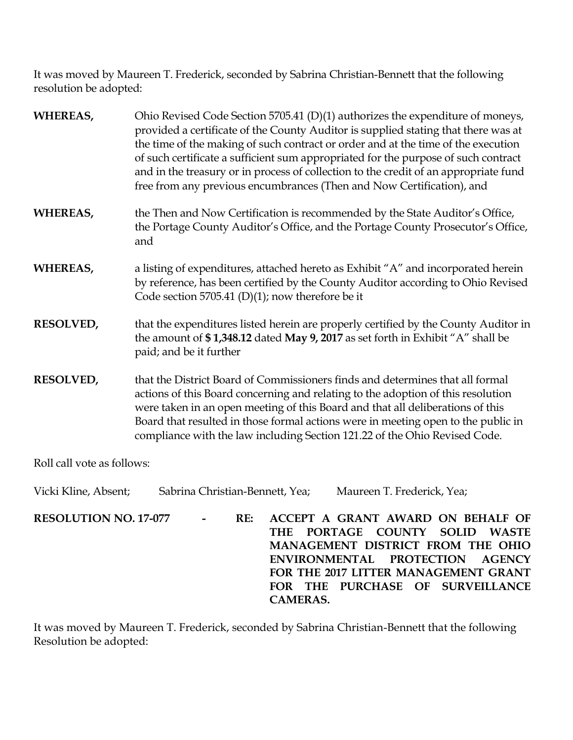It was moved by Maureen T. Frederick, seconded by Sabrina Christian-Bennett that the following resolution be adopted:

| <b>WHEREAS,</b>  | Ohio Revised Code Section 5705.41 (D)(1) authorizes the expenditure of moneys,<br>provided a certificate of the County Auditor is supplied stating that there was at<br>the time of the making of such contract or order and at the time of the execution<br>of such certificate a sufficient sum appropriated for the purpose of such contract<br>and in the treasury or in process of collection to the credit of an appropriate fund<br>free from any previous encumbrances (Then and Now Certification), and |
|------------------|------------------------------------------------------------------------------------------------------------------------------------------------------------------------------------------------------------------------------------------------------------------------------------------------------------------------------------------------------------------------------------------------------------------------------------------------------------------------------------------------------------------|
| <b>WHEREAS,</b>  | the Then and Now Certification is recommended by the State Auditor's Office,<br>the Portage County Auditor's Office, and the Portage County Prosecutor's Office,<br>and                                                                                                                                                                                                                                                                                                                                          |
| <b>WHEREAS,</b>  | a listing of expenditures, attached hereto as Exhibit "A" and incorporated herein<br>by reference, has been certified by the County Auditor according to Ohio Revised<br>Code section 5705.41 (D)(1); now therefore be it                                                                                                                                                                                                                                                                                        |
| <b>RESOLVED,</b> | that the expenditures listed herein are properly certified by the County Auditor in<br>the amount of \$1,348.12 dated May 9, 2017 as set forth in Exhibit "A" shall be<br>paid; and be it further                                                                                                                                                                                                                                                                                                                |
| <b>RESOLVED,</b> | that the District Board of Commissioners finds and determines that all formal<br>actions of this Board concerning and relating to the adoption of this resolution<br>were taken in an open meeting of this Board and that all deliberations of this<br>Board that resulted in those formal actions were in meeting open to the public in<br>compliance with the law including Section 121.22 of the Ohio Revised Code.                                                                                           |

Roll call vote as follows:

Vicki Kline, Absent; Sabrina Christian-Bennett, Yea; Maureen T. Frederick, Yea; **RESOLUTION NO. 17-077 - RE: ACCEPT A GRANT AWARD ON BEHALF OF THE PORTAGE COUNTY SOLID WASTE MANAGEMENT DISTRICT FROM THE OHIO ENVIRONMENTAL PROTECTION AGENCY FOR THE 2017 LITTER MANAGEMENT GRANT FOR THE PURCHASE OF SURVEILLANCE CAMERAS.**

It was moved by Maureen T. Frederick, seconded by Sabrina Christian-Bennett that the following Resolution be adopted: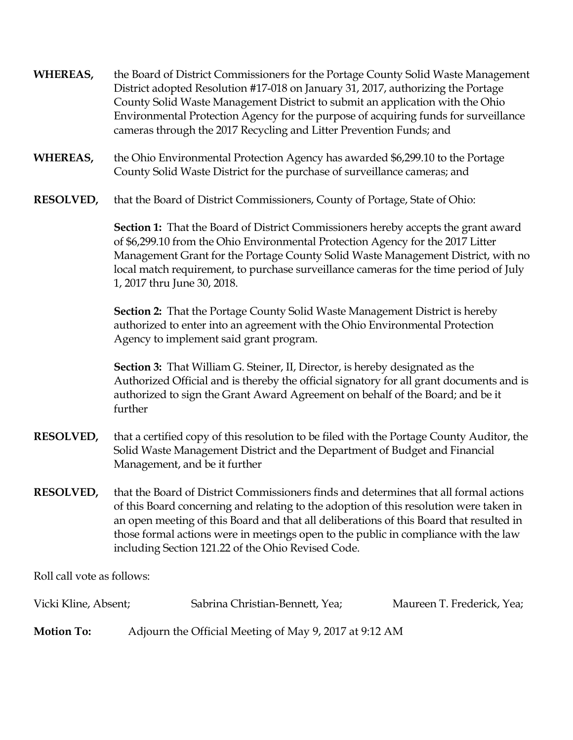- **WHEREAS,** the Board of District Commissioners for the Portage County Solid Waste Management District adopted Resolution #17-018 on January 31, 2017, authorizing the Portage County Solid Waste Management District to submit an application with the Ohio Environmental Protection Agency for the purpose of acquiring funds for surveillance cameras through the 2017 Recycling and Litter Prevention Funds; and
- **WHEREAS,** the Ohio Environmental Protection Agency has awarded \$6,299.10 to the Portage County Solid Waste District for the purchase of surveillance cameras; and
- **RESOLVED,** that the Board of District Commissioners, County of Portage, State of Ohio:

**Section 1:** That the Board of District Commissioners hereby accepts the grant award of \$6,299.10 from the Ohio Environmental Protection Agency for the 2017 Litter Management Grant for the Portage County Solid Waste Management District, with no local match requirement, to purchase surveillance cameras for the time period of July 1, 2017 thru June 30, 2018.

**Section 2:** That the Portage County Solid Waste Management District is hereby authorized to enter into an agreement with the Ohio Environmental Protection Agency to implement said grant program.

**Section 3:** That William G. Steiner, II, Director, is hereby designated as the Authorized Official and is thereby the official signatory for all grant documents and is authorized to sign the Grant Award Agreement on behalf of the Board; and be it further

- **RESOLVED,** that a certified copy of this resolution to be filed with the Portage County Auditor, the Solid Waste Management District and the Department of Budget and Financial Management, and be it further
- **RESOLVED,** that the Board of District Commissioners finds and determines that all formal actions of this Board concerning and relating to the adoption of this resolution were taken in an open meeting of this Board and that all deliberations of this Board that resulted in those formal actions were in meetings open to the public in compliance with the law including Section 121.22 of the Ohio Revised Code.

Roll call vote as follows:

| Vicki Kline, Absent; | Sabrina Christian-Bennett, Yea;                        | Maureen T. Frederick, Yea; |
|----------------------|--------------------------------------------------------|----------------------------|
| <b>Motion To:</b>    | Adjourn the Official Meeting of May 9, 2017 at 9:12 AM |                            |